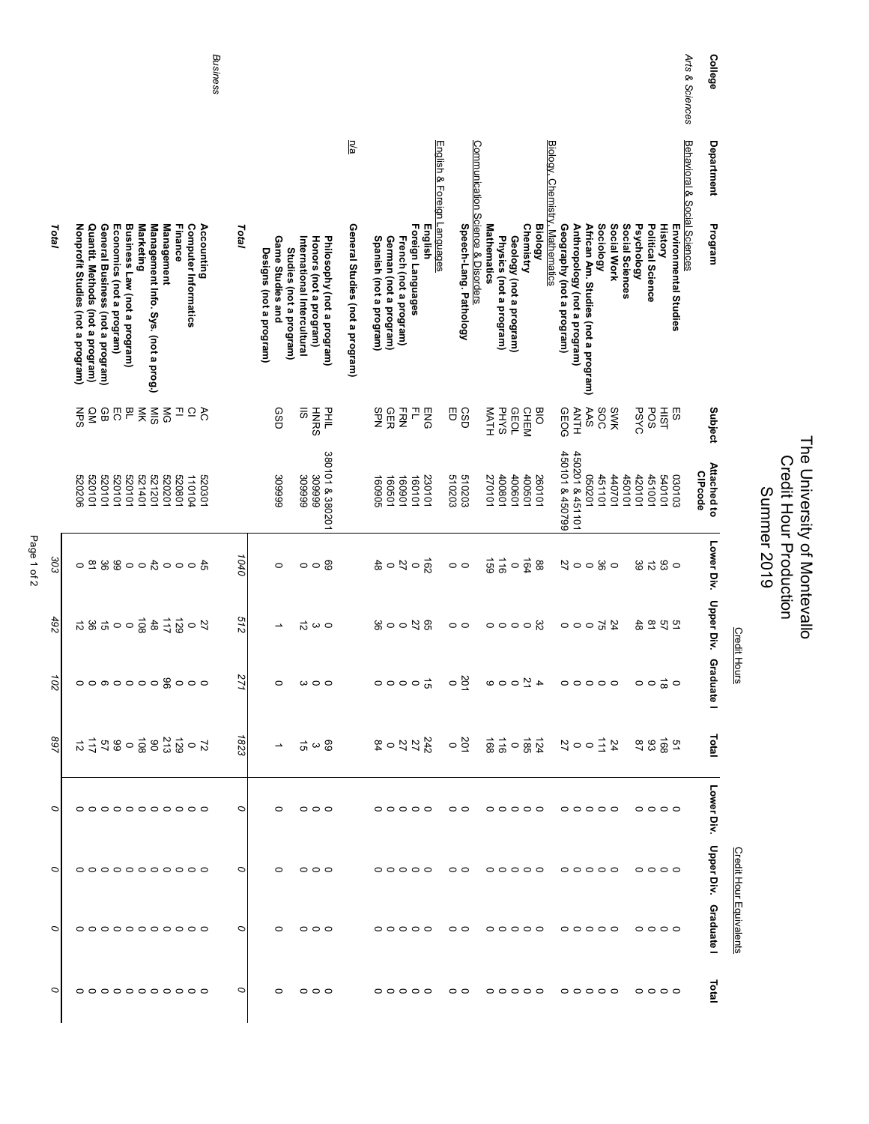|   |                                                                                                                                                                        |                                                                |                                 | Business   |         |                                                                        |                                                                                     | n/a                             |                                                   |                                             |                             |                                                                                     |                                   |                                                            |                         |                                    |                                                              |                                 |                                                  |                                                                                                             |                 |                                    |                |                              | Arts & Sciences<br>College    |                         |
|---|------------------------------------------------------------------------------------------------------------------------------------------------------------------------|----------------------------------------------------------------|---------------------------------|------------|---------|------------------------------------------------------------------------|-------------------------------------------------------------------------------------|---------------------------------|---------------------------------------------------|---------------------------------------------|-----------------------------|-------------------------------------------------------------------------------------|-----------------------------------|------------------------------------------------------------|-------------------------|------------------------------------|--------------------------------------------------------------|---------------------------------|--------------------------------------------------|-------------------------------------------------------------------------------------------------------------|-----------------|------------------------------------|----------------|------------------------------|-------------------------------|-------------------------|
|   |                                                                                                                                                                        |                                                                |                                 |            |         |                                                                        |                                                                                     |                                 |                                                   |                                             | English & Foreign Languages |                                                                                     |                                   |                                                            |                         |                                    |                                                              |                                 |                                                  |                                                                                                             |                 |                                    |                | Behavioral & Social Sciences | Department                    |                         |
|   | Nonprofit Studies (not a program)<br>Business Law (not a program)<br>Quantit. Methods (not a program)<br>General Business (not a program)<br>Economics (not a program) | Marketing<br>Management Info. Sys. (not a prog.)<br>Management | Finance<br>Computer Informatics | Accounting | Total   | Game Studies and<br>Studies (not a program)<br>Designs (not a program) | Honors (not a program)<br>Philosophy (not a program)<br>International Intercultural | General Studies (not a program) | Spanish (not a program)<br>German (not a program) | Foreign Languages<br>French (not a program) | English                     | Speech-Lang. Pathology                                                              | Communication Science & Disorders | <b>Mathematics</b><br>Physics (not a program)              | Geology (not a program) | <b>Chemistry</b><br><b>Biology</b> | Biology, Chemistry, Mathematics<br>Geography (not a program) | Anthropology (not a program)    | Sociology<br>African Am. Studies (not a program) | Social Work                                                                                                 | Social Sciences | Political Science<br>Psychology    | <b>History</b> | Environmental Studies        | Program                       |                         |
|   | $2997$ $7555$<br>ΜPS                                                                                                                                                   |                                                                | ⇒ ∼ ⇒                           |            |         | GSD                                                                    | <b>HNRS</b><br>DHIL<br>H<br>$\overline{5}$                                          |                                 | 유운<br>모                                           | F<br><b>HRN</b>                             | ENG                         | U<br>CSD                                                                            |                                   | MATH<br><b>PHYS</b>                                        | <b>GEOL</b>             | <b>CHEM</b><br><b>BIO</b>          | GEOG                                                         | <b>ANTH</b>                     | SOC<br>AAS                                       | SWK                                                                                                         |                 | <b>POS</b><br><b>PSYC</b>          | <b>HIST</b>    | 59                           | Subject                       |                         |
|   | 520101<br>520101<br>520101<br>520101<br>520206                                                                                                                         | 521401<br>521201                                               | 520201<br>520801<br>110104      | 520301     |         | 309999                                                                 | 380101 & 380201<br>666008<br>309999                                                 |                                 | 160501<br>160905                                  | 160901<br>160101                            | 230101                      | 510203<br>510203                                                                    |                                   | 400801<br>270101                                           | 400601                  | 400501<br>260101                   | 450101 & 450799                                              | 450201 & 451101                 | 102090                                           | 451101<br>140701                                                                                            | 450101          | 420101<br>451001                   | 540101         | 030103                       | Attached to<br><b>CIPcode</b> |                         |
|   | 40004008820                                                                                                                                                            |                                                                |                                 |            | 1040    | $\circ$                                                                | $\circ$ $\circ$ $\circ$                                                             |                                 | $\frac{0}{3}$                                     | $rac{162}{51}$                              |                             | $\circ$                                                                             |                                   | 691<br>116                                                 | $\circ$                 | $\overline{64}$<br>88              |                                                              | 52                              | $\circ$ $\frac{\omega}{\omega}$ $\circ$          |                                                                                                             |                 | $\vec{z}$<br>39                    | $\frac{6}{3}$  |                              | Lower Div.                    |                         |
|   | 5.580000<br>$\frac{1}{5}$ $\frac{2}{5}$                                                                                                                                |                                                                |                                 | 57         | 512     |                                                                        | $\vec{\circ}$<br>$\sim$ 0                                                           |                                 | 220000                                            |                                             |                             | $\circ$                                                                             |                                   | 00000                                                      |                         |                                    |                                                              | 25000                           |                                                  |                                                                                                             |                 | $\overline{\mathtt{8}}$<br>48      | 51<br>75       |                              | Upper Div.                    |                         |
|   | 0000000 000                                                                                                                                                            |                                                                |                                 |            | 271     | 0                                                                      | $\mathbf{\omega}$<br>$\circ$                                                        |                                 | $\circ \circ \circ \circ \vec{\circ}$             |                                             |                             | $rac{20}{9}$                                                                        |                                   | $\begin{array}{c}\n\alpha \\ \alpha \\ \beta\n\end{array}$ |                         |                                    |                                                              | 00000                           |                                                  |                                                                                                             |                 | $\circ$ $\frac{1}{\infty}$ $\circ$ |                |                              | Gradua<br>흔                   | <b>Credit Hours</b>     |
|   |                                                                                                                                                                        |                                                                |                                 |            | 1823    |                                                                        | $\frac{8}{10}$ $\omega$ $\frac{1}{10}$ $\sim$                                       |                                 | 242 20 28<br>25 20 29                             |                                             |                             | $\frac{5}{4}$ $\frac{3}{8}$ $\frac{3}{6}$ $\frac{5}{8}$ $\frac{5}{2}$ $\frac{6}{2}$ |                                   |                                                            |                         |                                    |                                                              |                                 |                                                  | $\begin{array}{c}\n2 \overline{\smash{\big)}\ 1} & \circ \circ \xrightarrow{\smash{\big)}\ 2}\n\end{array}$ |                 | ಇ ಜಿ ಹೆ ಇ                          |                |                              | Total                         |                         |
| O | °°°°°°°°°°°°                                                                                                                                                           |                                                                |                                 |            | $\circ$ | $\circ$                                                                | $\circ$ $\circ$ $\circ$                                                             |                                 | $\circ \circ \circ \circ \circ$                   |                                             |                             | $\circ$ $\circ$                                                                     |                                   | $\circ \circ \circ \circ \circ$                            |                         |                                    |                                                              | 00000                           |                                                  |                                                                                                             |                 | $\circ \circ \circ \circ$          |                |                              | Lower Div.                    |                         |
|   | 000000000                                                                                                                                                              |                                                                |                                 |            | $\circ$ | $\circ$                                                                | 000                                                                                 |                                 | $\circ \circ \circ \circ \circ$                   |                                             |                             | $\circ$                                                                             |                                   | $\circ \circ \circ \circ \circ$                            |                         |                                    |                                                              | 000000                          |                                                  |                                                                                                             |                 | 0000                               |                |                              | <b>Upper Div.</b>             |                         |
|   | 00000000000                                                                                                                                                            |                                                                |                                 |            | $\circ$ | $\circ$                                                                | $\circ \circ \circ$                                                                 |                                 | $\circ \circ \circ \circ \circ$                   |                                             |                             | $\circ$                                                                             |                                   | 00000                                                      |                         |                                    |                                                              | 00000                           |                                                  |                                                                                                             |                 | 0000                               |                |                              | <b>Graduate I</b>             | Credit Hour Equivalents |
|   | °°°°°°°°°°°°                                                                                                                                                           |                                                                |                                 |            | $\circ$ | $\circ$                                                                | 000                                                                                 |                                 | 00000                                             |                                             |                             | $\circ$ $\circ$                                                                     |                                   | 00000                                                      |                         |                                    |                                                              | $\circ \circ \circ \circ \circ$ |                                                  |                                                                                                             |                 | 0000                               |                |                              | Total                         |                         |

The University of Montevallo Credit Hour Production Summer 2019

The University of Montevallo<br>Credit Hour Production<br>Summer 2019

Page 1 of 2 Page 1 of 2